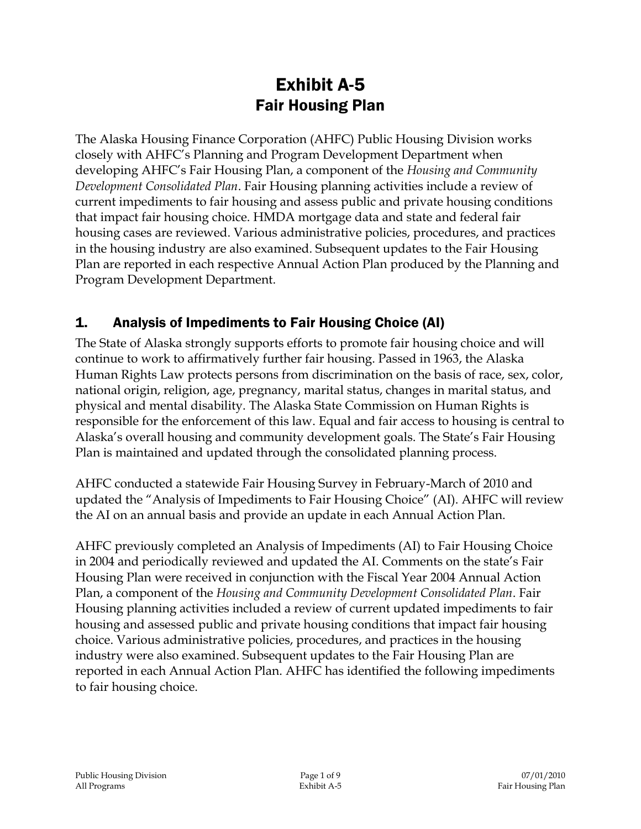# Exhibit A-5 Fair Housing Plan

The Alaska Housing Finance Corporation (AHFC) Public Housing Division works closely with AHFC's Planning and Program Development Department when developing AHFC's Fair Housing Plan, a component of the *Housing and Community Development Consolidated Plan*. Fair Housing planning activities include a review of current impediments to fair housing and assess public and private housing conditions that impact fair housing choice. HMDA mortgage data and state and federal fair housing cases are reviewed. Various administrative policies, procedures, and practices in the housing industry are also examined. Subsequent updates to the Fair Housing Plan are reported in each respective Annual Action Plan produced by the Planning and Program Development Department.

## 1. Analysis of Impediments to Fair Housing Choice (AI)

The State of Alaska strongly supports efforts to promote fair housing choice and will continue to work to affirmatively further fair housing. Passed in 1963, the Alaska Human Rights Law protects persons from discrimination on the basis of race, sex, color, national origin, religion, age, pregnancy, marital status, changes in marital status, and physical and mental disability. The Alaska State Commission on Human Rights is responsible for the enforcement of this law. Equal and fair access to housing is central to Alaska's overall housing and community development goals. The State's Fair Housing Plan is maintained and updated through the consolidated planning process.

AHFC conducted a statewide Fair Housing Survey in February-March of 2010 and updated the "Analysis of Impediments to Fair Housing Choice" (AI). AHFC will review the AI on an annual basis and provide an update in each Annual Action Plan.

AHFC previously completed an Analysis of Impediments (AI) to Fair Housing Choice in 2004 and periodically reviewed and updated the AI. Comments on the state's Fair Housing Plan were received in conjunction with the Fiscal Year 2004 Annual Action Plan, a component of the *Housing and Community Development Consolidated Plan*. Fair Housing planning activities included a review of current updated impediments to fair housing and assessed public and private housing conditions that impact fair housing choice. Various administrative policies, procedures, and practices in the housing industry were also examined. Subsequent updates to the Fair Housing Plan are reported in each Annual Action Plan. AHFC has identified the following impediments to fair housing choice.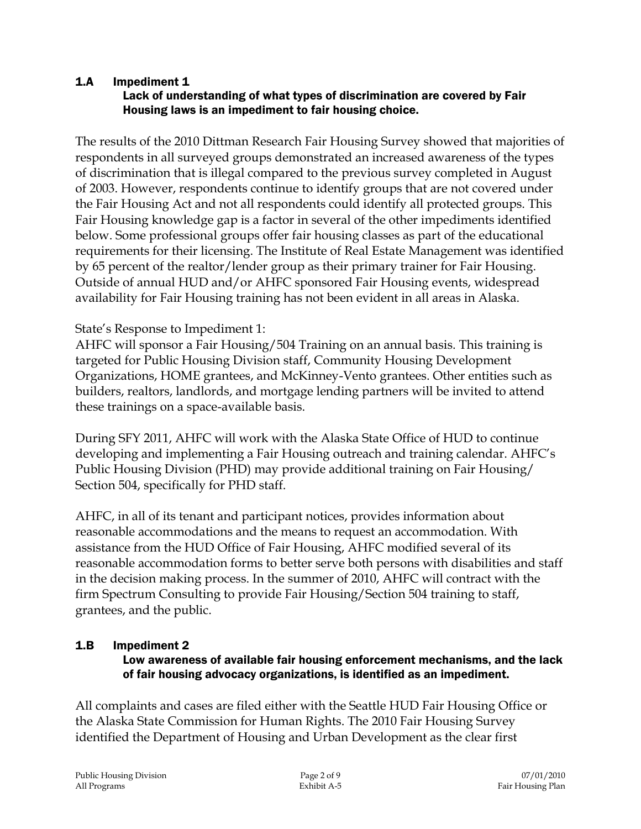#### 1.A Impediment 1 Lack of understanding of what types of discrimination are covered by Fair Housing laws is an impediment to fair housing choice.

The results of the 2010 Dittman Research Fair Housing Survey showed that majorities of respondents in all surveyed groups demonstrated an increased awareness of the types of discrimination that is illegal compared to the previous survey completed in August of 2003. However, respondents continue to identify groups that are not covered under the Fair Housing Act and not all respondents could identify all protected groups. This Fair Housing knowledge gap is a factor in several of the other impediments identified below. Some professional groups offer fair housing classes as part of the educational requirements for their licensing. The Institute of Real Estate Management was identified by 65 percent of the realtor/lender group as their primary trainer for Fair Housing. Outside of annual HUD and/or AHFC sponsored Fair Housing events, widespread availability for Fair Housing training has not been evident in all areas in Alaska.

### State's Response to Impediment 1:

AHFC will sponsor a Fair Housing/504 Training on an annual basis. This training is targeted for Public Housing Division staff, Community Housing Development Organizations, HOME grantees, and McKinney-Vento grantees. Other entities such as builders, realtors, landlords, and mortgage lending partners will be invited to attend these trainings on a space-available basis.

During SFY 2011, AHFC will work with the Alaska State Office of HUD to continue developing and implementing a Fair Housing outreach and training calendar. AHFC's Public Housing Division (PHD) may provide additional training on Fair Housing/ Section 504, specifically for PHD staff.

AHFC, in all of its tenant and participant notices, provides information about reasonable accommodations and the means to request an accommodation. With assistance from the HUD Office of Fair Housing, AHFC modified several of its reasonable accommodation forms to better serve both persons with disabilities and staff in the decision making process. In the summer of 2010, AHFC will contract with the firm Spectrum Consulting to provide Fair Housing/Section 504 training to staff, grantees, and the public.

### 1.B Impediment 2

#### Low awareness of available fair housing enforcement mechanisms, and the lack of fair housing advocacy organizations, is identified as an impediment.

All complaints and cases are filed either with the Seattle HUD Fair Housing Office or the Alaska State Commission for Human Rights. The 2010 Fair Housing Survey identified the Department of Housing and Urban Development as the clear first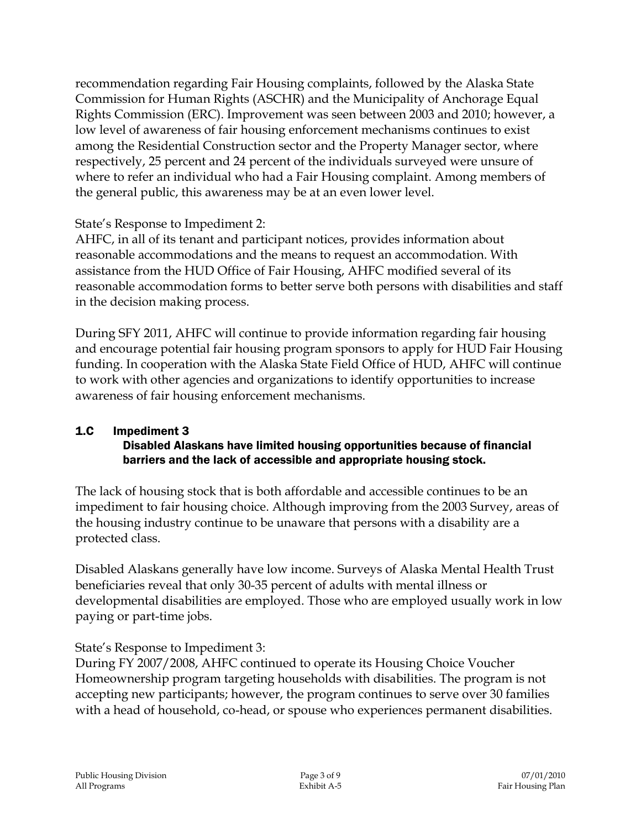recommendation regarding Fair Housing complaints, followed by the Alaska State Commission for Human Rights (ASCHR) and the Municipality of Anchorage Equal Rights Commission (ERC). Improvement was seen between 2003 and 2010; however, a low level of awareness of fair housing enforcement mechanisms continues to exist among the Residential Construction sector and the Property Manager sector, where respectively, 25 percent and 24 percent of the individuals surveyed were unsure of where to refer an individual who had a Fair Housing complaint. Among members of the general public, this awareness may be at an even lower level.

State's Response to Impediment 2:

AHFC, in all of its tenant and participant notices, provides information about reasonable accommodations and the means to request an accommodation. With assistance from the HUD Office of Fair Housing, AHFC modified several of its reasonable accommodation forms to better serve both persons with disabilities and staff in the decision making process.

During SFY 2011, AHFC will continue to provide information regarding fair housing and encourage potential fair housing program sponsors to apply for HUD Fair Housing funding. In cooperation with the Alaska State Field Office of HUD, AHFC will continue to work with other agencies and organizations to identify opportunities to increase awareness of fair housing enforcement mechanisms.

#### 1.C Impediment 3 Disabled Alaskans have limited housing opportunities because of financial barriers and the lack of accessible and appropriate housing stock.

The lack of housing stock that is both affordable and accessible continues to be an impediment to fair housing choice. Although improving from the 2003 Survey, areas of the housing industry continue to be unaware that persons with a disability are a protected class.

Disabled Alaskans generally have low income. Surveys of Alaska Mental Health Trust beneficiaries reveal that only 30-35 percent of adults with mental illness or developmental disabilities are employed. Those who are employed usually work in low paying or part-time jobs.

State's Response to Impediment 3:

During FY 2007/2008, AHFC continued to operate its Housing Choice Voucher Homeownership program targeting households with disabilities. The program is not accepting new participants; however, the program continues to serve over 30 families with a head of household, co-head, or spouse who experiences permanent disabilities.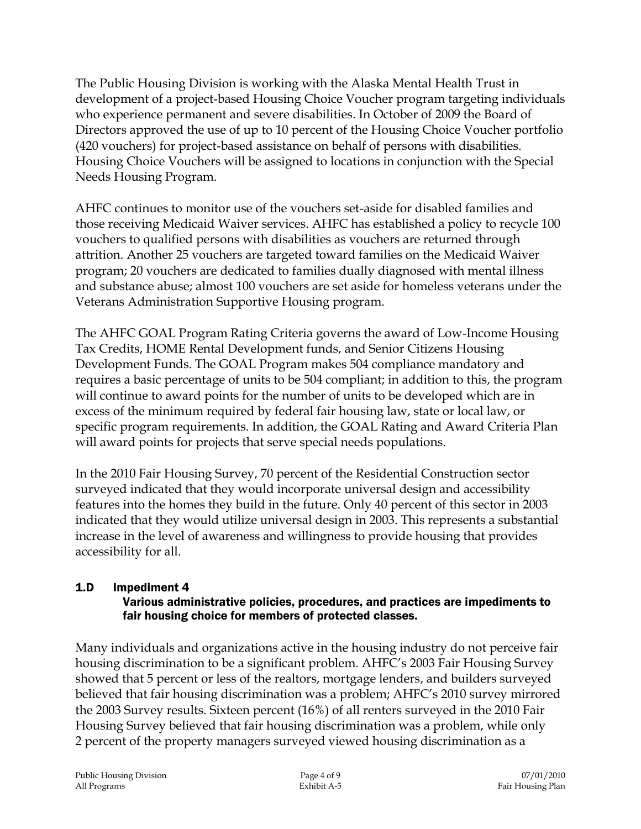The Public Housing Division is working with the Alaska Mental Health Trust in development of a project-based Housing Choice Voucher program targeting individuals who experience permanent and severe disabilities. In October of 2009 the Board of Directors approved the use of up to 10 percent of the Housing Choice Voucher portfolio (420 vouchers) for project-based assistance on behalf of persons with disabilities. Housing Choice Vouchers will be assigned to locations in conjunction with the Special Needs Housing Program.

AHFC continues to monitor use of the vouchers set-aside for disabled families and those receiving Medicaid Waiver services. AHFC has established a policy to recycle 100 vouchers to qualified persons with disabilities as vouchers are returned through attrition. Another 25 vouchers are targeted toward families on the Medicaid Waiver program; 20 vouchers are dedicated to families dually diagnosed with mental illness and substance abuse; almost 100 vouchers are set aside for homeless veterans under the Veterans Administration Supportive Housing program.

The AHFC GOAL Program Rating Criteria governs the award of Low-Income Housing Tax Credits, HOME Rental Development funds, and Senior Citizens Housing Development Funds. The GOAL Program makes 504 compliance mandatory and requires a basic percentage of units to be 504 compliant; in addition to this, the program will continue to award points for the number of units to be developed which are in excess of the minimum required by federal fair housing law, state or local law, or specific program requirements. In addition, the GOAL Rating and Award Criteria Plan will award points for projects that serve special needs populations.

In the 2010 Fair Housing Survey, 70 percent of the Residential Construction sector surveyed indicated that they would incorporate universal design and accessibility features into the homes they build in the future. Only 40 percent of this sector in 2003 indicated that they would utilize universal design in 2003. This represents a substantial increase in the level of awareness and willingness to provide housing that provides accessibility for all.

#### 1.D Impediment 4 Various administrative policies, procedures, and practices are impediments to fair housing choice for members of protected classes.

Many individuals and organizations active in the housing industry do not perceive fair housing discrimination to be a significant problem. AHFC's 2003 Fair Housing Survey showed that 5 percent or less of the realtors, mortgage lenders, and builders surveyed believed that fair housing discrimination was a problem; AHFC's 2010 survey mirrored the 2003 Survey results. Sixteen percent (16%) of all renters surveyed in the 2010 Fair Housing Survey believed that fair housing discrimination was a problem, while only 2 percent of the property managers surveyed viewed housing discrimination as a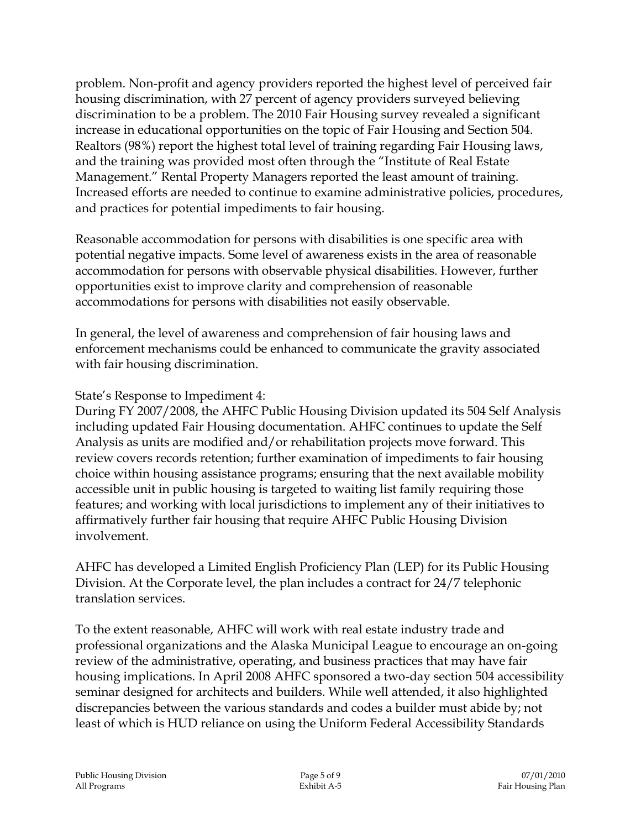problem. Non-profit and agency providers reported the highest level of perceived fair housing discrimination, with 27 percent of agency providers surveyed believing discrimination to be a problem. The 2010 Fair Housing survey revealed a significant increase in educational opportunities on the topic of Fair Housing and Section 504. Realtors (98%) report the highest total level of training regarding Fair Housing laws, and the training was provided most often through the "Institute of Real Estate Management." Rental Property Managers reported the least amount of training. Increased efforts are needed to continue to examine administrative policies, procedures, and practices for potential impediments to fair housing.

Reasonable accommodation for persons with disabilities is one specific area with potential negative impacts. Some level of awareness exists in the area of reasonable accommodation for persons with observable physical disabilities. However, further opportunities exist to improve clarity and comprehension of reasonable accommodations for persons with disabilities not easily observable.

In general, the level of awareness and comprehension of fair housing laws and enforcement mechanisms could be enhanced to communicate the gravity associated with fair housing discrimination.

State's Response to Impediment 4:

During FY 2007/2008, the AHFC Public Housing Division updated its 504 Self Analysis including updated Fair Housing documentation. AHFC continues to update the Self Analysis as units are modified and/or rehabilitation projects move forward. This review covers records retention; further examination of impediments to fair housing choice within housing assistance programs; ensuring that the next available mobility accessible unit in public housing is targeted to waiting list family requiring those features; and working with local jurisdictions to implement any of their initiatives to affirmatively further fair housing that require AHFC Public Housing Division involvement.

AHFC has developed a Limited English Proficiency Plan (LEP) for its Public Housing Division. At the Corporate level, the plan includes a contract for 24/7 telephonic translation services.

To the extent reasonable, AHFC will work with real estate industry trade and professional organizations and the Alaska Municipal League to encourage an on-going review of the administrative, operating, and business practices that may have fair housing implications. In April 2008 AHFC sponsored a two-day section 504 accessibility seminar designed for architects and builders. While well attended, it also highlighted discrepancies between the various standards and codes a builder must abide by; not least of which is HUD reliance on using the Uniform Federal Accessibility Standards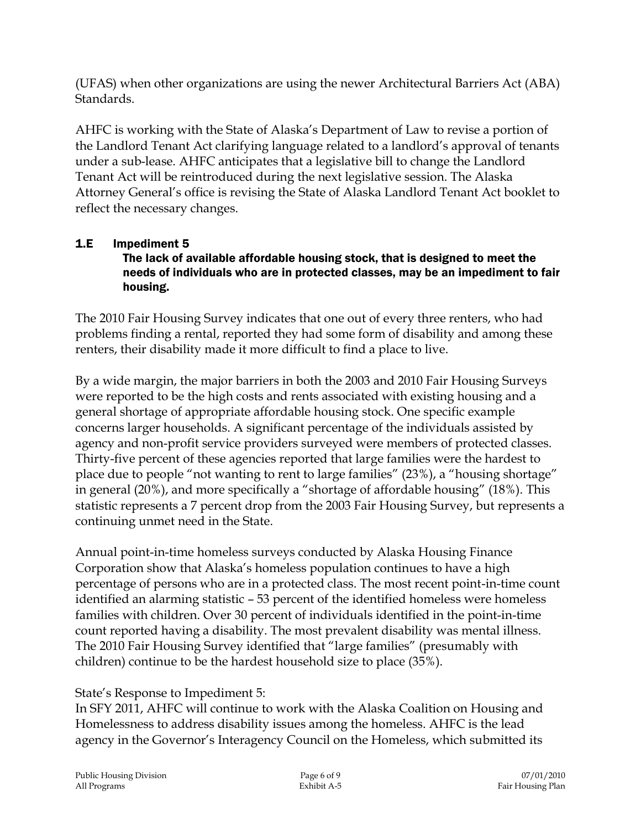(UFAS) when other organizations are using the newer Architectural Barriers Act (ABA) Standards.

AHFC is working with the State of Alaska's Department of Law to revise a portion of the Landlord Tenant Act clarifying language related to a landlord's approval of tenants under a sub-lease. AHFC anticipates that a legislative bill to change the Landlord Tenant Act will be reintroduced during the next legislative session. The Alaska Attorney General's office is revising the State of Alaska Landlord Tenant Act booklet to reflect the necessary changes.

# 1.E Impediment 5

#### The lack of available affordable housing stock, that is designed to meet the needs of individuals who are in protected classes, may be an impediment to fair housing.

The 2010 Fair Housing Survey indicates that one out of every three renters, who had problems finding a rental, reported they had some form of disability and among these renters, their disability made it more difficult to find a place to live.

By a wide margin, the major barriers in both the 2003 and 2010 Fair Housing Surveys were reported to be the high costs and rents associated with existing housing and a general shortage of appropriate affordable housing stock. One specific example concerns larger households. A significant percentage of the individuals assisted by agency and non-profit service providers surveyed were members of protected classes. Thirty-five percent of these agencies reported that large families were the hardest to place due to people "not wanting to rent to large families" (23%), a "housing shortage" in general (20%), and more specifically a "shortage of affordable housing" (18%). This statistic represents a 7 percent drop from the 2003 Fair Housing Survey, but represents a continuing unmet need in the State.

Annual point-in-time homeless surveys conducted by Alaska Housing Finance Corporation show that Alaska's homeless population continues to have a high percentage of persons who are in a protected class. The most recent point-in-time count identified an alarming statistic – 53 percent of the identified homeless were homeless families with children. Over 30 percent of individuals identified in the point-in-time count reported having a disability. The most prevalent disability was mental illness. The 2010 Fair Housing Survey identified that "large families" (presumably with children) continue to be the hardest household size to place (35%).

State's Response to Impediment 5:

In SFY 2011, AHFC will continue to work with the Alaska Coalition on Housing and Homelessness to address disability issues among the homeless. AHFC is the lead agency in the Governor's Interagency Council on the Homeless, which submitted its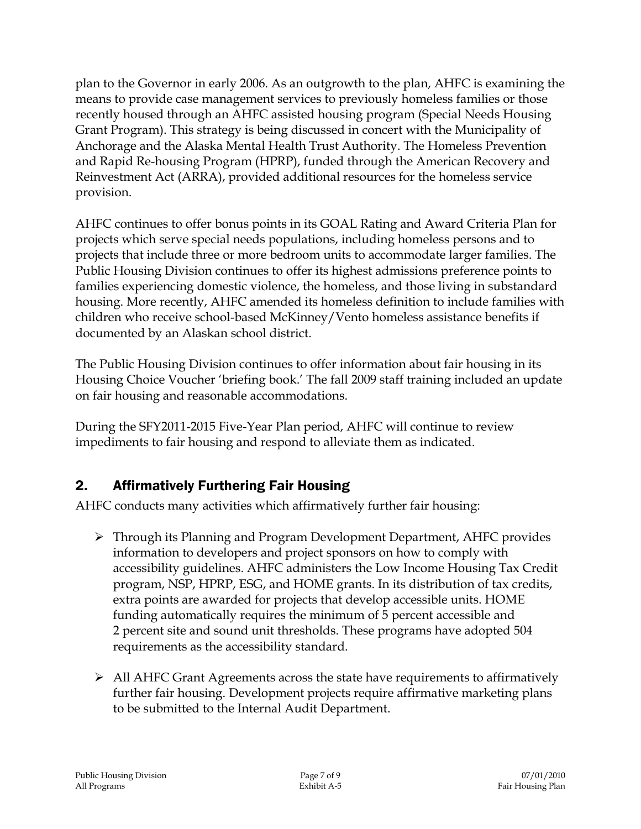plan to the Governor in early 2006. As an outgrowth to the plan, AHFC is examining the means to provide case management services to previously homeless families or those recently housed through an AHFC assisted housing program (Special Needs Housing Grant Program). This strategy is being discussed in concert with the Municipality of Anchorage and the Alaska Mental Health Trust Authority. The Homeless Prevention and Rapid Re-housing Program (HPRP), funded through the American Recovery and Reinvestment Act (ARRA), provided additional resources for the homeless service provision.

AHFC continues to offer bonus points in its GOAL Rating and Award Criteria Plan for projects which serve special needs populations, including homeless persons and to projects that include three or more bedroom units to accommodate larger families. The Public Housing Division continues to offer its highest admissions preference points to families experiencing domestic violence, the homeless, and those living in substandard housing. More recently, AHFC amended its homeless definition to include families with children who receive school-based McKinney/Vento homeless assistance benefits if documented by an Alaskan school district.

The Public Housing Division continues to offer information about fair housing in its Housing Choice Voucher 'briefing book.' The fall 2009 staff training included an update on fair housing and reasonable accommodations.

During the SFY2011-2015 Five-Year Plan period, AHFC will continue to review impediments to fair housing and respond to alleviate them as indicated.

## 2. Affirmatively Furthering Fair Housing

AHFC conducts many activities which affirmatively further fair housing:

- Through its Planning and Program Development Department, AHFC provides information to developers and project sponsors on how to comply with accessibility guidelines. AHFC administers the Low Income Housing Tax Credit program, NSP, HPRP, ESG, and HOME grants. In its distribution of tax credits, extra points are awarded for projects that develop accessible units. HOME funding automatically requires the minimum of 5 percent accessible and 2 percent site and sound unit thresholds. These programs have adopted 504 requirements as the accessibility standard.
- $\triangleright$  All AHFC Grant Agreements across the state have requirements to affirmatively further fair housing. Development projects require affirmative marketing plans to be submitted to the Internal Audit Department.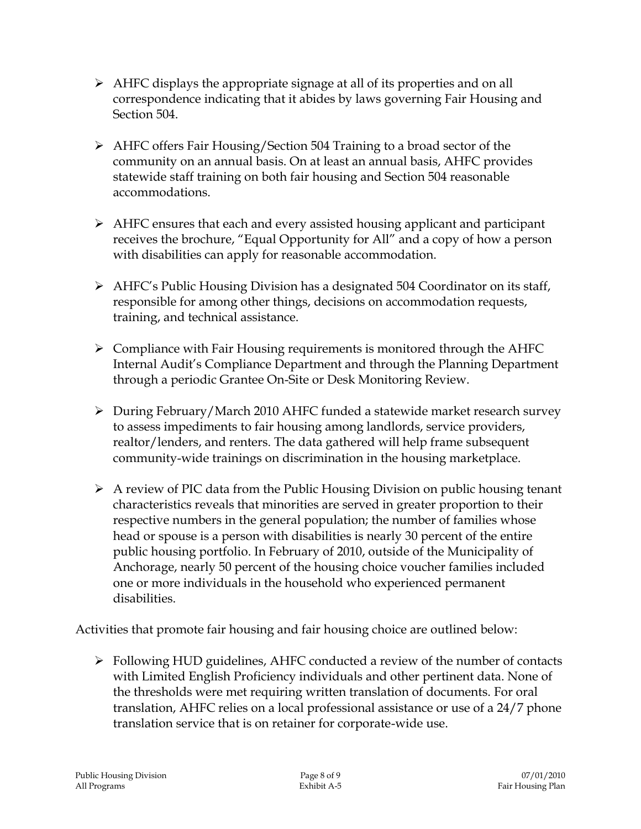- $\triangleright$  AHFC displays the appropriate signage at all of its properties and on all correspondence indicating that it abides by laws governing Fair Housing and Section 504.
- AHFC offers Fair Housing/Section 504 Training to a broad sector of the community on an annual basis. On at least an annual basis, AHFC provides statewide staff training on both fair housing and Section 504 reasonable accommodations.
- AHFC ensures that each and every assisted housing applicant and participant receives the brochure, "Equal Opportunity for All" and a copy of how a person with disabilities can apply for reasonable accommodation.
- $\triangleright$  AHFC's Public Housing Division has a designated 504 Coordinator on its staff, responsible for among other things, decisions on accommodation requests, training, and technical assistance.
- $\triangleright$  Compliance with Fair Housing requirements is monitored through the AHFC Internal Audit's Compliance Department and through the Planning Department through a periodic Grantee On-Site or Desk Monitoring Review.
- During February/March 2010 AHFC funded a statewide market research survey to assess impediments to fair housing among landlords, service providers, realtor/lenders, and renters. The data gathered will help frame subsequent community-wide trainings on discrimination in the housing marketplace.
- $\triangleright$  A review of PIC data from the Public Housing Division on public housing tenant characteristics reveals that minorities are served in greater proportion to their respective numbers in the general population; the number of families whose head or spouse is a person with disabilities is nearly 30 percent of the entire public housing portfolio. In February of 2010, outside of the Municipality of Anchorage, nearly 50 percent of the housing choice voucher families included one or more individuals in the household who experienced permanent disabilities.

Activities that promote fair housing and fair housing choice are outlined below:

 Following HUD guidelines, AHFC conducted a review of the number of contacts with Limited English Proficiency individuals and other pertinent data. None of the thresholds were met requiring written translation of documents. For oral translation, AHFC relies on a local professional assistance or use of a 24/7 phone translation service that is on retainer for corporate-wide use.